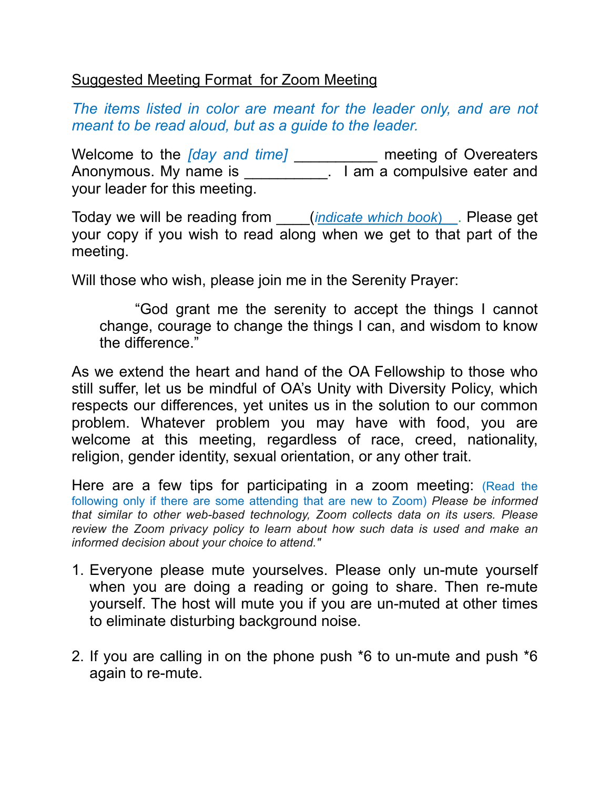## Suggested Meeting Format for Zoom Meeting

*The items listed in color are meant for the leader only, and are not meant to be read aloud, but as a guide to the leader.*

Welcome to the *[day and time]* \_\_\_\_\_\_\_\_\_\_ meeting of Overeaters Anonymous. My name is \_\_\_\_\_\_\_\_\_\_\_\_. I am a compulsive eater and your leader for this meeting.

Today we will be reading from \_\_\_\_(*indicate which book*)\_\_. Please get your copy if you wish to read along when we get to that part of the meeting.

Will those who wish, please join me in the Serenity Prayer:

 "God grant me the serenity to accept the things I cannot change, courage to change the things I can, and wisdom to know the difference."

As we extend the heart and hand of the OA Fellowship to those who still suffer, let us be mindful of OA's Unity with Diversity Policy, which respects our differences, yet unites us in the solution to our common problem. Whatever problem you may have with food, you are welcome at this meeting, regardless of race, creed, nationality, religion, gender identity, sexual orientation, or any other trait.

Here are a few tips for participating in a zoom meeting: (Read the following only if there are some attending that are new to Zoom) *Please be informed that similar to other web-based technology, Zoom collects data on its users. Please review the Zoom privacy policy to learn about how such data is used and make an informed decision about your choice to attend."* 

- 1. Everyone please mute yourselves. Please only un-mute yourself when you are doing a reading or going to share. Then re-mute yourself. The host will mute you if you are un-muted at other times to eliminate disturbing background noise.
- 2. If you are calling in on the phone push \*6 to un-mute and push \*6 again to re-mute.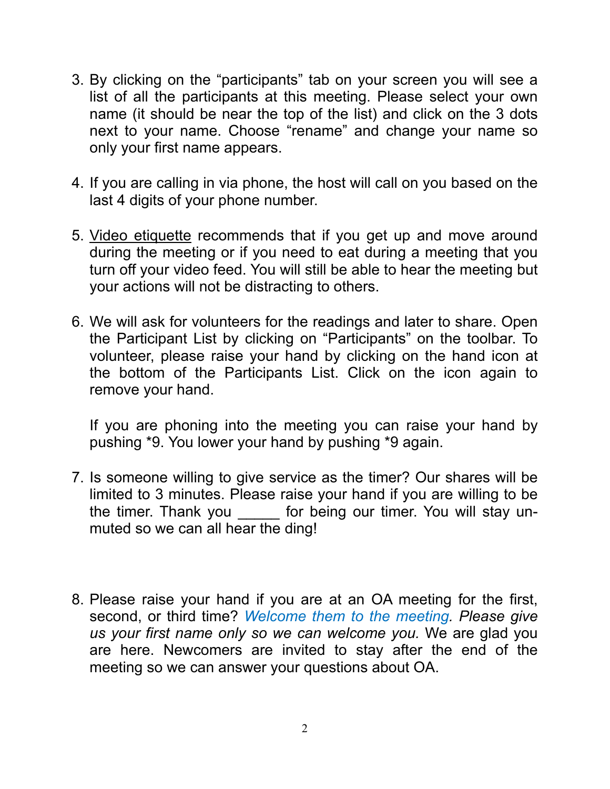- 3. By clicking on the "participants" tab on your screen you will see a list of all the participants at this meeting. Please select your own name (it should be near the top of the list) and click on the 3 dots next to your name. Choose "rename" and change your name so only your first name appears.
- 4. If you are calling in via phone, the host will call on you based on the last 4 digits of your phone number.
- 5. Video etiquette recommends that if you get up and move around during the meeting or if you need to eat during a meeting that you turn off your video feed. You will still be able to hear the meeting but your actions will not be distracting to others.
- 6. We will ask for volunteers for the readings and later to share. Open the Participant List by clicking on "Participants" on the toolbar. To volunteer, please raise your hand by clicking on the hand icon at the bottom of the Participants List. Click on the icon again to remove your hand.

If you are phoning into the meeting you can raise your hand by pushing \*9. You lower your hand by pushing \*9 again.

- 7. Is someone willing to give service as the timer? Our shares will be limited to 3 minutes. Please raise your hand if you are willing to be the timer. Thank you \_\_\_\_\_\_ for being our timer. You will stay unmuted so we can all hear the ding!
- 8. Please raise your hand if you are at an OA meeting for the first, second, or third time? *Welcome them to the meeting. Please give us your first name only so we can welcome you.* We are glad you are here. Newcomers are invited to stay after the end of the meeting so we can answer your questions about OA.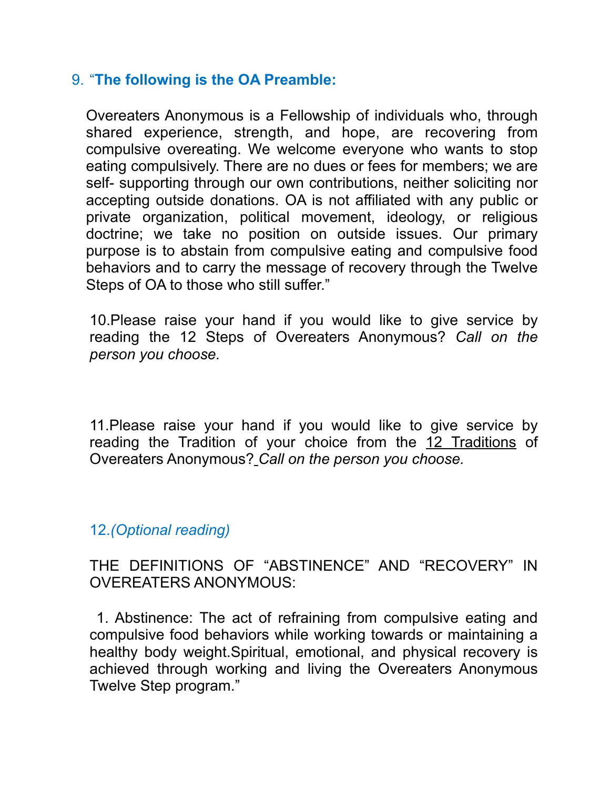## 9. "**The following is the OA Preamble:**

Overeaters Anonymous is a Fellowship of individuals who, through shared experience, strength, and hope, are recovering from compulsive overeating. We welcome everyone who wants to stop eating compulsively. There are no dues or fees for members; we are self- supporting through our own contributions, neither soliciting nor accepting outside donations. OA is not affiliated with any public or private organization, political movement, ideology, or religious doctrine; we take no position on outside issues. Our primary purpose is to abstain from compulsive eating and compulsive food behaviors and to carry the message of recovery through the Twelve Steps of OA to those who still suffer."

10.Please raise your hand if you would like to give service by reading the 12 Steps of Overeaters Anonymous? *Call on the person you choose.* 

11.Please raise your hand if you would like to give service by reading the Tradition of your choice from the 12 Traditions of Overeaters Anonymous? *Call on the person you choose.* 

## 12.*(Optional reading)*

THE DEFINITIONS OF "ABSTINENCE" AND "RECOVERY" IN OVEREATERS ANONYMOUS:

 1. Abstinence: The act of refraining from compulsive eating and compulsive food behaviors while working towards or maintaining a healthy body weight.Spiritual, emotional, and physical recovery is achieved through working and living the Overeaters Anonymous Twelve Step program."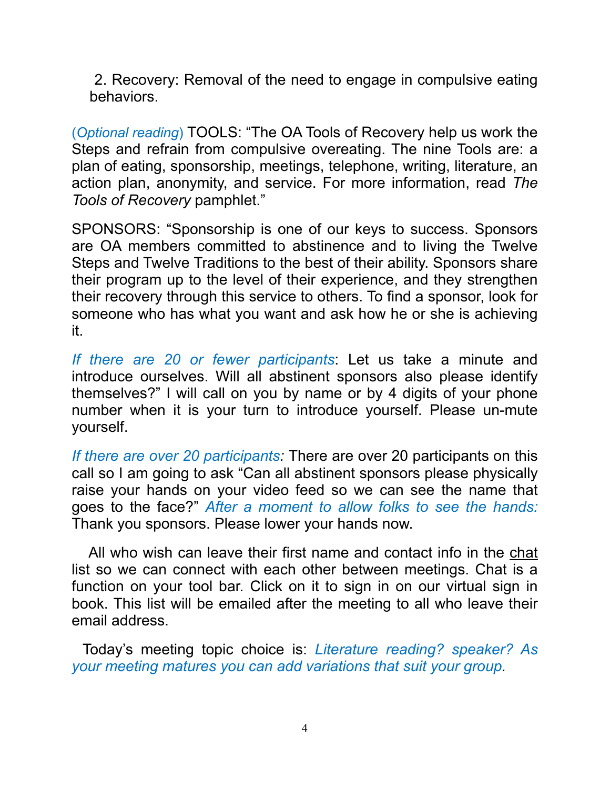2. Recovery: Removal of the need to engage in compulsive eating behaviors.

(*Optional reading*) TOOLS: "The OA Tools of Recovery help us work the Steps and refrain from compulsive overeating. The nine Tools are: a plan of eating, sponsorship, meetings, telephone, writing, literature, an action plan, anonymity, and service. For more information, read *The Tools of Recovery* pamphlet."

SPONSORS: "Sponsorship is one of our keys to success. Sponsors are OA members committed to abstinence and to living the Twelve Steps and Twelve Traditions to the best of their ability. Sponsors share their program up to the level of their experience, and they strengthen their recovery through this service to others. To find a sponsor, look for someone who has what you want and ask how he or she is achieving it.

*If there are 20 or fewer participants*: Let us take a minute and introduce ourselves. Will all abstinent sponsors also please identify themselves?" I will call on you by name or by 4 digits of your phone number when it is your turn to introduce yourself. Please un-mute yourself.

*If there are over 20 participants:* There are over 20 participants on this call so I am going to ask "Can all abstinent sponsors please physically raise your hands on your video feed so we can see the name that goes to the face?" *After a moment to allow folks to see the hands:* Thank you sponsors. Please lower your hands now.

 All who wish can leave their first name and contact info in the chat list so we can connect with each other between meetings. Chat is a function on your tool bar. Click on it to sign in on our virtual sign in book. This list will be emailed after the meeting to all who leave their email address.

Today's meeting topic choice is: *Literature reading? speaker? As your meeting matures you can add variations that suit your group.*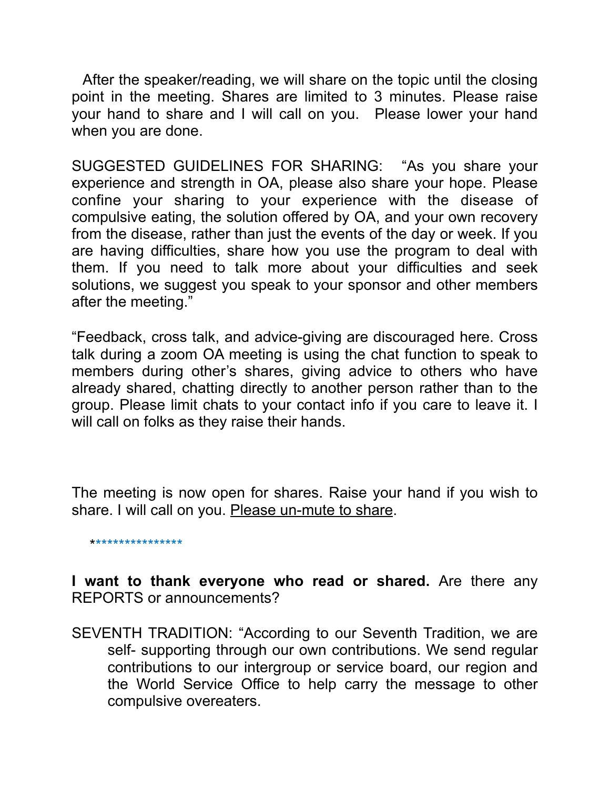After the speaker/reading, we will share on the topic until the closing point in the meeting. Shares are limited to 3 minutes. Please raise your hand to share and I will call on you. Please lower your hand when you are done.

SUGGESTED GUIDELINES FOR SHARING: "As you share your experience and strength in OA, please also share your hope. Please confine your sharing to your experience with the disease of compulsive eating, the solution offered by OA, and your own recovery from the disease, rather than just the events of the day or week. If you are having difficulties, share how you use the program to deal with them. If you need to talk more about your difficulties and seek solutions, we suggest you speak to your sponsor and other members after the meeting."

"Feedback, cross talk, and advice-giving are discouraged here. Cross talk during a zoom OA meeting is using the chat function to speak to members during other's shares, giving advice to others who have already shared, chatting directly to another person rather than to the group. Please limit chats to your contact info if you care to leave it. I will call on folks as they raise their hands.

The meeting is now open for shares. Raise your hand if you wish to share. I will call on you. Please un-mute to share.

\*\*\*\*\*\*\*\*\*\*\*\*\*\*\*\*

**I want to thank everyone who read or shared.** Are there any REPORTS or announcements?

SEVENTH TRADITION: "According to our Seventh Tradition, we are self- supporting through our own contributions. We send regular contributions to our intergroup or service board, our region and the World Service Office to help carry the message to other compulsive overeaters.